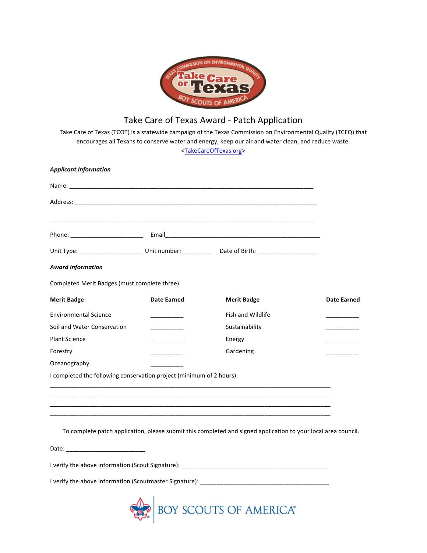

## Take Care of Texas Award - Patch Application

Take Care of Texas (TCOT) is a statewide campaign of the Texas Commission on Environmental Quality (TCEQ) that encourages all Texans to conserve water and energy, keep our air and water clean, and reduce waste. [<TakeCareOfTexas.org](http://www.takecareoftexas.org/)>

| <b>Applicant Information</b>                                         |                                                                                                                         |                                                                                                                |                    |
|----------------------------------------------------------------------|-------------------------------------------------------------------------------------------------------------------------|----------------------------------------------------------------------------------------------------------------|--------------------|
|                                                                      |                                                                                                                         |                                                                                                                |                    |
|                                                                      |                                                                                                                         |                                                                                                                |                    |
|                                                                      |                                                                                                                         |                                                                                                                |                    |
|                                                                      |                                                                                                                         | Unit Type: _______________________ Unit number: ____________ Date of Birth: _______________________            |                    |
| <b>Award Information</b>                                             |                                                                                                                         |                                                                                                                |                    |
| Completed Merit Badges (must complete three)                         |                                                                                                                         |                                                                                                                |                    |
| <b>Merit Badge</b>                                                   | <b>Date Earned</b>                                                                                                      | <b>Merit Badge</b>                                                                                             | <b>Date Earned</b> |
| <b>Environmental Science</b>                                         | <u> De Carlos de Carlos de Carlos de Carlos de Carlos de Carlos de Carlos de Carlos de Carlos de Carlos de Carlos d</u> | Fish and Wildlife                                                                                              |                    |
| Soil and Water Conservation                                          |                                                                                                                         | Sustainability                                                                                                 |                    |
| <b>Plant Science</b>                                                 |                                                                                                                         | Energy                                                                                                         |                    |
| Forestry                                                             |                                                                                                                         | Gardening                                                                                                      |                    |
| Oceanography                                                         |                                                                                                                         |                                                                                                                |                    |
| I completed the following conservation project (minimum of 2 hours): |                                                                                                                         |                                                                                                                |                    |
|                                                                      |                                                                                                                         |                                                                                                                |                    |
|                                                                      |                                                                                                                         |                                                                                                                |                    |
|                                                                      |                                                                                                                         |                                                                                                                |                    |
|                                                                      |                                                                                                                         | To complete patch application, please submit this completed and signed application to your local area council. |                    |
|                                                                      |                                                                                                                         |                                                                                                                |                    |
|                                                                      |                                                                                                                         |                                                                                                                |                    |
|                                                                      |                                                                                                                         |                                                                                                                |                    |
|                                                                      | <b>Contract Contract Contract Contract</b>                                                                              |                                                                                                                |                    |